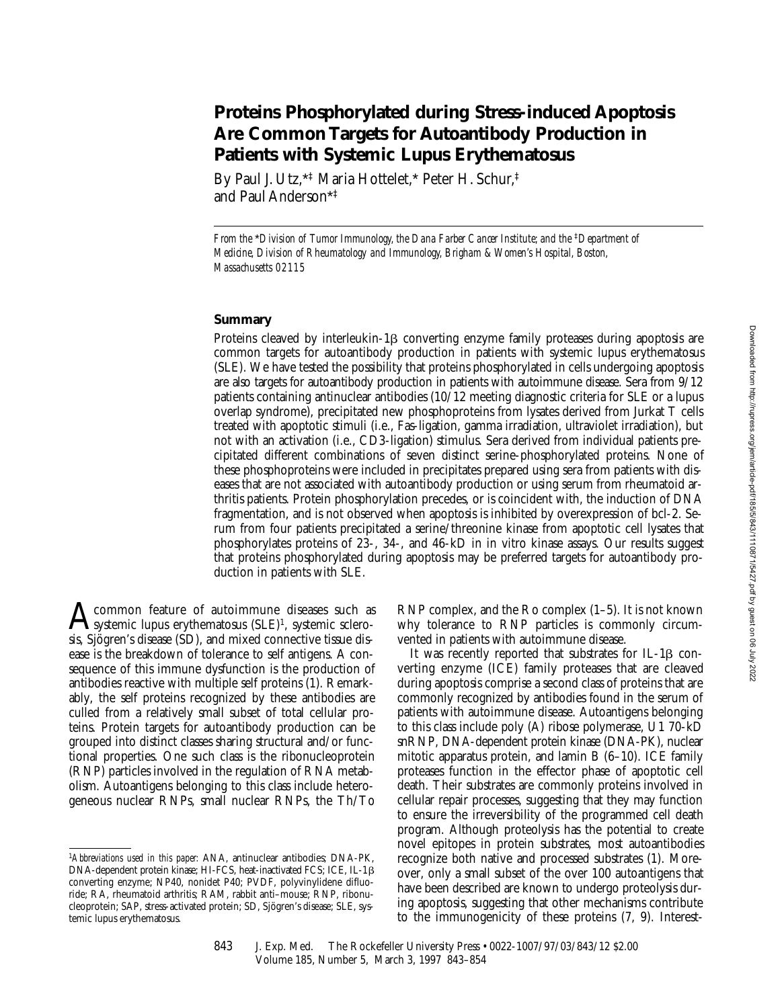# **Proteins Phosphorylated during Stress-induced Apoptosis Are Common Targets for Autoantibody Production in Patients with Systemic Lupus Erythematosus**

By Paul J. Utz,\*‡ Maria Hottelet,\* Peter H. Schur,‡ and Paul Anderson\*‡

*From the \*Division of Tumor Immunology, the Dana Farber Cancer Institute; and the* <sup>‡</sup>*Department of Medicine, Division of Rheumatology and Immunology, Brigham & Women's Hospital, Boston, Massachusetts 02115*

## **Summary**

Proteins cleaved by interleukin-1 $\beta$  converting enzyme family proteases during apoptosis are common targets for autoantibody production in patients with systemic lupus erythematosus (SLE). We have tested the possibility that proteins phosphorylated in cells undergoing apoptosis are also targets for autoantibody production in patients with autoimmune disease. Sera from 9/12 patients containing antinuclear antibodies (10/12 meeting diagnostic criteria for SLE or a lupus overlap syndrome), precipitated new phosphoproteins from lysates derived from Jurkat T cells treated with apoptotic stimuli (i.e., Fas-ligation, gamma irradiation, ultraviolet irradiation), but not with an activation (i.e., CD3-ligation) stimulus. Sera derived from individual patients precipitated different combinations of seven distinct serine-phosphorylated proteins. None of these phosphoproteins were included in precipitates prepared using sera from patients with diseases that are not associated with autoantibody production or using serum from rheumatoid arthritis patients. Protein phosphorylation precedes, or is coincident with, the induction of DNA fragmentation, and is not observed when apoptosis is inhibited by overexpression of bcl-2. Serum from four patients precipitated a serine/threonine kinase from apoptotic cell lysates that phosphorylates proteins of 23-, 34-, and 46-kD in in vitro kinase assays. Our results suggest that proteins phosphorylated during apoptosis may be preferred targets for autoantibody production in patients with SLE.

 $\mathbf{A}$ common feature of autoimmune diseases such as<br>systemic lupus erythematosus (SLE)<sup>1</sup>, systemic sclero-<br>six Six service disease (SD) and mixed compatibutions dissis, Sjögren's disease (SD), and mixed connective tissue disease is the breakdown of tolerance to self antigens. A consequence of this immune dysfunction is the production of antibodies reactive with multiple self proteins (1). Remarkably, the self proteins recognized by these antibodies are culled from a relatively small subset of total cellular proteins. Protein targets for autoantibody production can be grouped into distinct classes sharing structural and/or functional properties. One such class is the ribonucleoprotein (RNP) particles involved in the regulation of RNA metabolism. Autoantigens belonging to this class include heterogeneous nuclear RNPs, small nuclear RNPs, the Th/To

RNP complex, and the Ro complex (1–5). It is not known why tolerance to RNP particles is commonly circumvented in patients with autoimmune disease.

It was recently reported that substrates for IL-1 $\beta$  converting enzyme (ICE) family proteases that are cleaved during apoptosis comprise a second class of proteins that are commonly recognized by antibodies found in the serum of patients with autoimmune disease. Autoantigens belonging to this class include poly (A) ribose polymerase, U1 70-kD snRNP, DNA-dependent protein kinase (DNA-PK), nuclear mitotic apparatus protein, and lamin B (6–10). ICE family proteases function in the effector phase of apoptotic cell death. Their substrates are commonly proteins involved in cellular repair processes, suggesting that they may function to ensure the irreversibility of the programmed cell death program. Although proteolysis has the potential to create novel epitopes in protein substrates, most autoantibodies recognize both native and processed substrates (1). Moreover, only a small subset of the over 100 autoantigens that have been described are known to undergo proteolysis during apoptosis, suggesting that other mechanisms contribute to the immunogenicity of these proteins (7, 9). Interest-

<sup>1</sup>*Abbreviations used in this paper:* ANA, antinuclear antibodies; DNA-PK, DNA-dependent protein kinase; HI-FCS, heat-inactivated FCS; ICE, IL-1 $\beta$ converting enzyme; NP40, nonidet P40; PVDF, polyvinylidene difluoride; RA, rheumatoid arthritis; RAM, rabbit anti–mouse; RNP, ribonucleoprotein; SAP, stress-activated protein; SD, Sjögren's disease; SLE, systemic lupus erythematosus.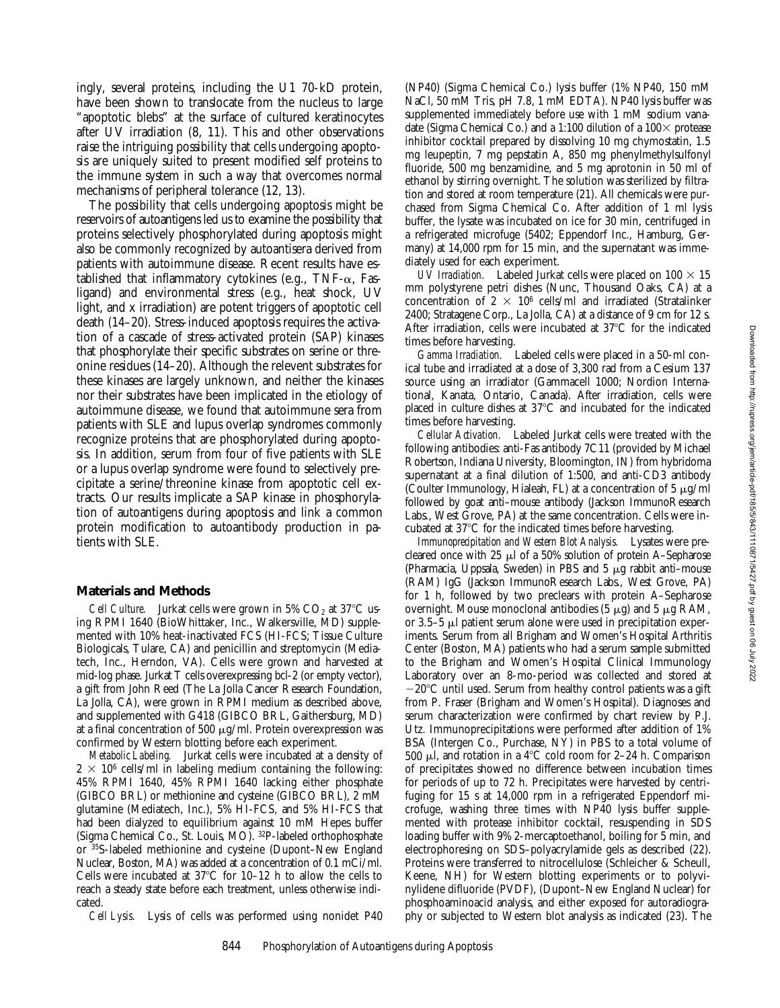ingly, several proteins, including the U1 70-kD protein, have been shown to translocate from the nucleus to large "apoptotic blebs" at the surface of cultured keratinocytes after UV irradiation (8, 11). This and other observations raise the intriguing possibility that cells undergoing apoptosis are uniquely suited to present modified self proteins to the immune system in such a way that overcomes normal mechanisms of peripheral tolerance (12, 13).

The possibility that cells undergoing apoptosis might be reservoirs of autoantigens led us to examine the possibility that proteins selectively phosphorylated during apoptosis might also be commonly recognized by autoantisera derived from patients with autoimmune disease. Recent results have established that inflammatory cytokines (e.g., TNF- $\alpha$ , Fasligand) and environmental stress (e.g., heat shock, UV light, and x irradiation) are potent triggers of apoptotic cell death (14–20). Stress-induced apoptosis requires the activation of a cascade of stress-activated protein (SAP) kinases that phosphorylate their specific substrates on serine or threonine residues (14–20). Although the relevent substrates for these kinases are largely unknown, and neither the kinases nor their substrates have been implicated in the etiology of autoimmune disease, we found that autoimmune sera from patients with SLE and lupus overlap syndromes commonly recognize proteins that are phosphorylated during apoptosis. In addition, serum from four of five patients with SLE or a lupus overlap syndrome were found to selectively precipitate a serine/threonine kinase from apoptotic cell extracts. Our results implicate a SAP kinase in phosphorylation of autoantigens during apoptosis and link a common protein modification to autoantibody production in patients with SLE.

## **Materials and Methods**

*Cell Culture.* Jurkat cells were grown in  $5\%$  CO<sub>2</sub> at  $37^{\circ}$ C using RPMI 1640 (BioWhittaker, Inc., Walkersville, MD) supplemented with 10% heat-inactivated FCS (HI-FCS; Tissue Culture Biologicals, Tulare, CA) and penicillin and streptomycin (Mediatech, Inc., Herndon, VA). Cells were grown and harvested at mid-log phase. Jurkat T cells overexpressing bcl-2 (or empty vector), a gift from John Reed (The La Jolla Cancer Research Foundation, La Jolla, CA), were grown in RPMI medium as described above, and supplemented with G418 (GIBCO BRL, Gaithersburg, MD) at a final concentration of 500  $\mu$ g/ml. Protein overexpression was confirmed by Western blotting before each experiment.

*Metabolic Labeling.* Jurkat cells were incubated at a density of  $2 \times 10^6$  cells/ml in labeling medium containing the following: 45% RPMI 1640, 45% RPMI 1640 lacking either phosphate (GIBCO BRL) or methionine and cysteine (GIBCO BRL), 2 mM glutamine (Mediatech, Inc.), 5% HI-FCS, and 5% HI-FCS that had been dialyzed to equilibrium against 10 mM Hepes buffer (Sigma Chemical Co., St. Louis, MO). 32P-labeled orthophosphate or 35S-labeled methionine and cysteine (Dupont–New England Nuclear, Boston, MA) was added at a concentration of 0.1 mCi/ml. Cells were incubated at  $37^{\circ}$ C for 10–12 h to allow the cells to reach a steady state before each treatment, unless otherwise indicated.

*Cell Lysis.* Lysis of cells was performed using nonidet P40

(NP40) (Sigma Chemical Co.) lysis buffer (1% NP40, 150 mM NaCl, 50 mM Tris, pH 7.8, 1 mM EDTA). NP40 lysis buffer was supplemented immediately before use with 1 mM sodium vanadate (Sigma Chemical Co.) and a 1:100 dilution of a  $100\times$  protease inhibitor cocktail prepared by dissolving 10 mg chymostatin, 1.5 mg leupeptin, 7 mg pepstatin A, 850 mg phenylmethylsulfonyl fluoride, 500 mg benzamidine, and 5 mg aprotonin in 50 ml of ethanol by stirring overnight. The solution was sterilized by filtration and stored at room temperature (21). All chemicals were purchased from Sigma Chemical Co. After addition of 1 ml lysis buffer, the lysate was incubated on ice for 30 min, centrifuged in a refrigerated microfuge (5402; Eppendorf Inc., Hamburg, Germany) at 14,000 rpm for 15 min, and the supernatant was immediately used for each experiment.

*UV Irradiation.* Labeled Jurkat cells were placed on  $100 \times 15$ mm polystyrene petri dishes (Nunc, Thousand Oaks, CA) at a concentration of  $2 \times 10^6$  cells/ml and irradiated (Stratalinker 2400; Stratagene Corp., La Jolla, CA) at a distance of 9 cm for 12 s. After irradiation, cells were incubated at  $37^{\circ}$ C for the indicated times before harvesting.

*Gamma Irradiation.* Labeled cells were placed in a 50-ml conical tube and irradiated at a dose of 3,300 rad from a Cesium 137 source using an irradiator (Gammacell 1000; Nordion International, Kanata, Ontario, Canada). After irradiation, cells were placed in culture dishes at  $37^{\circ}$ C and incubated for the indicated times before harvesting.

*Cellular Activation.* Labeled Jurkat cells were treated with the following antibodies: anti-Fas antibody 7C11 (provided by Michael Robertson, Indiana University, Bloomington, IN) from hybridoma supernatant at a final dilution of 1:500, and anti-CD3 antibody (Coulter Immunology, Hialeah, FL) at a concentration of 5  $\mu$ g/ml followed by goat anti–mouse antibody (Jackson ImmunoResearch Labs., West Grove, PA) at the same concentration. Cells were incubated at  $37^{\circ}$ C for the indicated times before harvesting.

*Immunoprecipitation and Western Blot Analysis.* Lysates were precleared once with 25  $\mu$ l of a 50% solution of protein A–Sepharose (Pharmacia, Uppsala, Sweden) in PBS and  $5 \mu$ g rabbit anti-mouse (RAM) IgG (Jackson ImmunoResearch Labs., West Grove, PA) for 1 h, followed by two preclears with protein A–Sepharose overnight. Mouse monoclonal antibodies (5  $\mu$ g) and 5  $\mu$ g RAM, or  $3.5-5$   $\mu$ l patient serum alone were used in precipitation experiments. Serum from all Brigham and Women's Hospital Arthritis Center (Boston, MA) patients who had a serum sample submitted to the Brigham and Women's Hospital Clinical Immunology Laboratory over an 8-mo-period was collected and stored at  $-20^{\circ}$ C until used. Serum from healthy control patients was a gift from P. Fraser (Brigham and Women's Hospital). Diagnoses and serum characterization were confirmed by chart review by P.J. Utz. Immunoprecipitations were performed after addition of 1% BSA (Intergen Co., Purchase, NY) in PBS to a total volume of 500  $\mu$ l, and rotation in a 4°C cold room for 2–24 h. Comparison of precipitates showed no difference between incubation times for periods of up to 72 h. Precipitates were harvested by centrifuging for 15 s at 14,000 rpm in a refrigerated Eppendorf microfuge, washing three times with NP40 lysis buffer supplemented with protease inhibitor cocktail, resuspending in SDS loading buffer with 9% 2-mercaptoethanol, boiling for 5 min, and electrophoresing on SDS–polyacrylamide gels as described (22). Proteins were transferred to nitrocellulose (Schleicher & Scheull, Keene, NH) for Western blotting experiments or to polyvinylidene difluoride (PVDF), (Dupont–New England Nuclear) for phosphoaminoacid analysis, and either exposed for autoradiography or subjected to Western blot analysis as indicated (23). The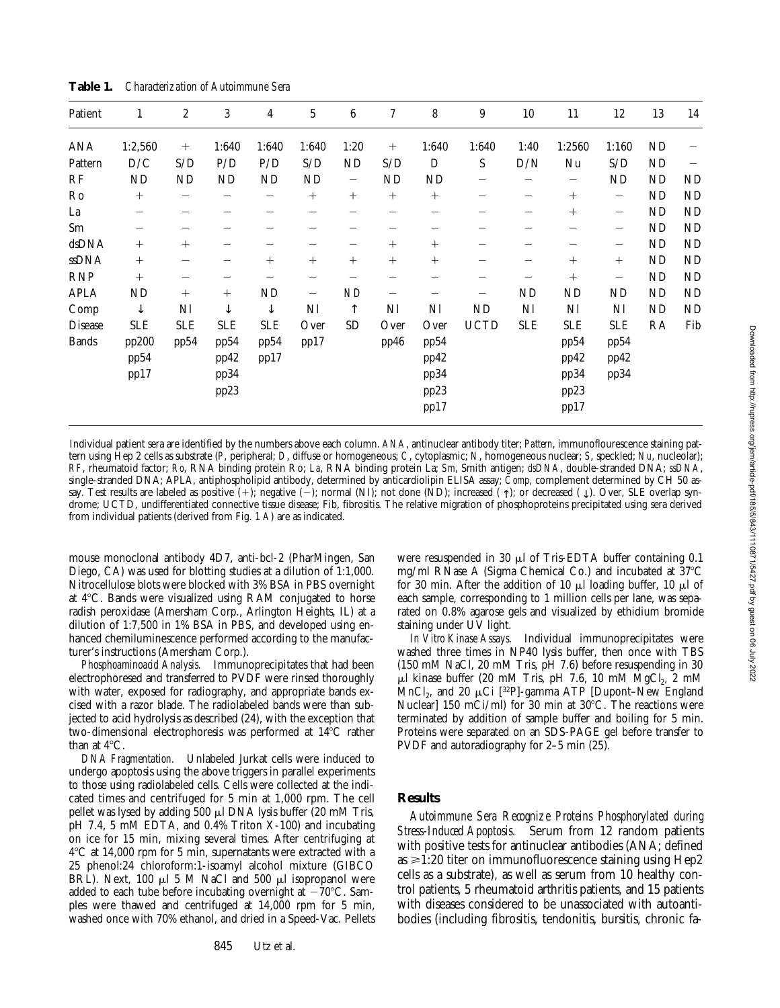| Patient      | 1                     | $\boldsymbol{2}$           | 3                            | 4                 | $\sqrt{5}$        | $6\phantom{.0}$          | $\tau$ | 8                                    | 9                        | $10\,$                   | 11                                   | 12                       | 13             | 14        |
|--------------|-----------------------|----------------------------|------------------------------|-------------------|-------------------|--------------------------|--------|--------------------------------------|--------------------------|--------------------------|--------------------------------------|--------------------------|----------------|-----------|
| ANA          | 1:2,560               | $^{+}$                     | 1:640                        | 1:640             | 1:640             | 1:20                     | $^{+}$ | 1:640                                | 1:640                    | 1:40                     | 1:2560                               | 1:160                    | ND             |           |
| Pattern      | D/C                   | S/D                        | P/D                          | P/D               | S/D               | ND                       | S/D    | D                                    | S                        | D/N                      | Nu                                   | S/D                      | ND             |           |
| RF           | ND                    | ND                         | <b>ND</b>                    | <b>ND</b>         | ND                | $\overline{\phantom{m}}$ | ND     | ND                                   |                          |                          | —                                    | ND                       | ND             | <b>ND</b> |
| Ro           | $^{+}$                |                            |                              | $\qquad \qquad -$ | $^{+}$            | $^{+}$                   | $^{+}$ | $^{+}$                               |                          | $\overline{\phantom{m}}$ | $^{+}$                               | $\overline{\phantom{m}}$ | <b>ND</b>      | <b>ND</b> |
| La           | -                     |                            |                              |                   |                   |                          |        |                                      |                          | —                        | $^{+}$                               | $\qquad \qquad -$        | ${\rm ND}$     | <b>ND</b> |
| Sm           | —                     |                            |                              |                   |                   |                          |        |                                      |                          |                          |                                      | $\qquad \qquad$          | ND             | <b>ND</b> |
| dsDNA        | $^{+}$                | $^{+}$                     |                              |                   |                   | $\overline{\phantom{0}}$ | $^{+}$ | $^{+}$                               |                          | —                        | -                                    | $\overline{\phantom{m}}$ | ND             | <b>ND</b> |
| ssDNA        | $^{+}$                |                            |                              | $^{+}$            | $^{+}$            | $^{+}$                   | $^{+}$ | $^{+}$                               |                          | —                        | $^{+}$                               | $^{+}$                   | ND             | <b>ND</b> |
| <b>RNP</b>   | $^{+}$                |                            |                              |                   |                   |                          |        |                                      |                          |                          | $^{+}$                               | $\qquad \qquad -$        | ND             | <b>ND</b> |
| APLA         | ND                    | $^{+}$                     | $^{+}$                       | <b>ND</b>         | $\qquad \qquad -$ | ND                       | —      |                                      | $\overline{\phantom{0}}$ | ND                       | ND                                   | ND                       | ND             | <b>ND</b> |
| Comp         | $\downarrow$          | $\mathop{\rm NI}\nolimits$ | ↓                            | $\downarrow$      | Nl                | $\uparrow$               | Nl     | Nl                                   | ND                       | Nl                       | Nl                                   | Nl                       | N <sub>D</sub> | <b>ND</b> |
| Disease      | <b>SLE</b>            | <b>SLE</b>                 | <b>SLE</b>                   | <b>SLE</b>        | Over              | ${\rm SD}$               | Over   | Over                                 | <b>UCTD</b>              | <b>SLE</b>               | <b>SLE</b>                           | <b>SLE</b>               | RA             | Fib       |
| <b>Bands</b> | pp200<br>pp54<br>pp17 | pp54                       | pp54<br>pp42<br>pp34<br>pp23 | pp54<br>pp17      | pp17              |                          | pp46   | pp54<br>pp42<br>pp34<br>pp23<br>pp17 |                          |                          | pp54<br>pp42<br>pp34<br>pp23<br>pp17 | pp54<br>pp42<br>pp34     |                |           |

**Table 1.** *Characterization of Autoimmune Sera*

Individual patient sera are identified by the numbers above each column. *ANA*, antinuclear antibody titer; *Pattern*, immunoflourescence staining pattern using Hep 2 cells as substrate (*P*, peripheral; *D*, diffuse or homogeneous; *C*, cytoplasmic; *N*, homogeneous nuclear; *S*, speckled; *Nu*, nucleolar); *RF*, rheumatoid factor; *Ro*, RNA binding protein Ro; *La*, RNA binding protein La; *Sm*, Smith antigen; *dsDNA*, double-stranded DNA; *ssDNA*, single-stranded DNA; APLA, antiphospholipid antibody, determined by anticardiolipin ELISA assay; *Comp*, complement determined by CH 50 assay. Test results are labeled as positive  $(+)$ ; negative  $(-)$ ; normal (NI); not done (ND); increased  $(+)$ ; or decreased  $(+)$ . Over, SLE overlap syndrome; UCTD, undifferentiated connective tissue disease; Fib, fibrositis. The relative migration of phosphoproteins precipitated using sera derived from individual patients (derived from Fig. 1 *A*) are as indicated.

mouse monoclonal antibody 4D7, anti-bcl-2 (PharMingen, San Diego, CA) was used for blotting studies at a dilution of 1:1,000. Nitrocellulose blots were blocked with 3% BSA in PBS overnight at  $4^{\circ}$ C. Bands were visualized using RAM conjugated to horse radish peroxidase (Amersham Corp., Arlington Heights, IL) at a dilution of 1:7,500 in 1% BSA in PBS, and developed using enhanced chemiluminescence performed according to the manufacturer's instructions (Amersham Corp.).

*Phosphoaminoacid Analysis.* Immunoprecipitates that had been electrophoresed and transferred to PVDF were rinsed thoroughly with water, exposed for radiography, and appropriate bands excised with a razor blade. The radiolabeled bands were than subjected to acid hydrolysis as described (24), with the exception that two-dimensional electrophoresis was performed at  $14^{\circ}$ C rather than at  $4^{\circ}$ C.

*DNA Fragmentation.* Unlabeled Jurkat cells were induced to undergo apoptosis using the above triggers in parallel experiments to those using radiolabeled cells. Cells were collected at the indicated times and centrifuged for 5 min at 1,000 rpm. The cell pellet was lysed by adding 500 µl DNA lysis buffer (20 mM Tris, pH 7.4, 5 mM EDTA, and 0.4% Triton X-100) and incubating on ice for 15 min, mixing several times. After centrifuging at  $4^{\circ}$ C at 14,000 rpm for 5 min, supernatants were extracted with a 25 phenol:24 chloroform:1-isoamyl alcohol mixture (GIBCO BRL). Next, 100 µl 5 M NaCl and 500 µl isopropanol were added to each tube before incubating overnight at  $-70^{\circ}$ C. Samples were thawed and centrifuged at 14,000 rpm for 5 min, washed once with 70% ethanol, and dried in a Speed-Vac. Pellets

were resuspended in 30  $\mu$ l of Tris-EDTA buffer containing 0.1 mg/ml RNase A (Sigma Chemical Co.) and incubated at  $37^{\circ}$ C for 30 min. After the addition of 10  $\mu$ l loading buffer, 10  $\mu$ l of each sample, corresponding to 1 million cells per lane, was separated on 0.8% agarose gels and visualized by ethidium bromide staining under UV light.

*In Vitro Kinase Assays.* Individual immunoprecipitates were washed three times in NP40 lysis buffer, then once with TBS (150 mM NaCl, 20 mM Tris, pH 7.6) before resuspending in 30  $\mu$ l kinase buffer (20 mM Tris, pH 7.6, 10 mM MgCl<sub>2</sub>, 2 mM MnCl<sub>2</sub>, and 20  $\mu$ Ci [<sup>32</sup>P]-gamma ATP [Dupont–New England Nuclear] 150 mCi/ml) for 30 min at  $30^{\circ}$ C. The reactions were terminated by addition of sample buffer and boiling for 5 min. Proteins were separated on an SDS-PAGE gel before transfer to PVDF and autoradiography for 2–5 min (25).

## **Results**

*Autoimmune Sera Recognize Proteins Phosphorylated during Stress-Induced Apoptosis.* Serum from 12 random patients with positive tests for antinuclear antibodies (ANA; defined as  $\geq 1:20$  titer on immunofluorescence staining using Hep2 cells as a substrate), as well as serum from 10 healthy control patients, 5 rheumatoid arthritis patients, and 15 patients with diseases considered to be unassociated with autoantibodies (including fibrositis, tendonitis, bursitis, chronic fa-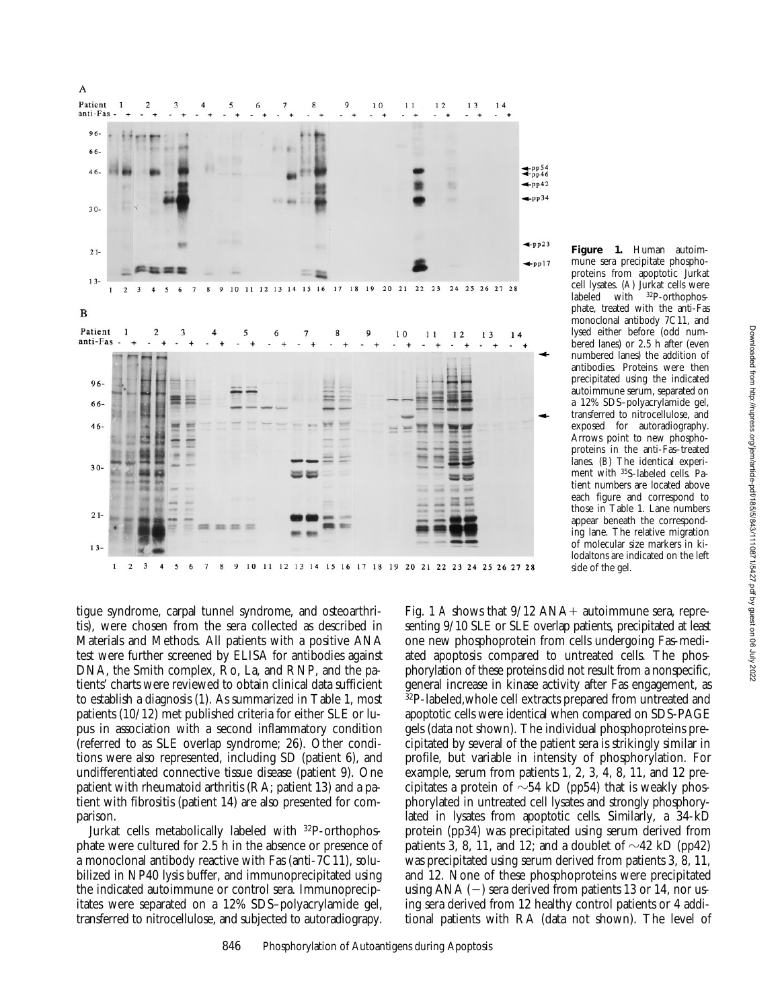

tigue syndrome, carpal tunnel syndrome, and osteoarthritis), were chosen from the sera collected as described in Materials and Methods. All patients with a positive ANA test were further screened by ELISA for antibodies against DNA, the Smith complex, Ro, La, and RNP, and the patients' charts were reviewed to obtain clinical data sufficient to establish a diagnosis (1). As summarized in Table 1, most patients (10/12) met published criteria for either SLE or lupus in association with a second inflammatory condition (referred to as SLE overlap syndrome; 26). Other conditions were also represented, including SD (patient 6), and undifferentiated connective tissue disease (patient 9). One patient with rheumatoid arthritis (RA; patient 13) and a patient with fibrositis (patient 14) are also presented for comparison.

Jurkat cells metabolically labeled with 32P-orthophosphate were cultured for 2.5 h in the absence or presence of a monoclonal antibody reactive with Fas (anti-7C11), solubilized in NP40 lysis buffer, and immunoprecipitated using the indicated autoimmune or control sera. Immunoprecipitates were separated on a 12% SDS–polyacrylamide gel, transferred to nitrocellulose, and subjected to autoradiograpy.

Fig. 1 *A* shows that  $9/12$  ANA+ autoimmune sera, representing 9/10 SLE or SLE overlap patients, precipitated at least one new phosphoprotein from cells undergoing Fas-mediated apoptosis compared to untreated cells. The phosphorylation of these proteins did not result from a nonspecific, general increase in kinase activity after Fas engagement, as  $32P$ -labeled, whole cell extracts prepared from untreated and apoptotic cells were identical when compared on SDS-PAGE gels (data not shown). The individual phosphoproteins precipitated by several of the patient sera is strikingly similar in profile, but variable in intensity of phosphorylation. For example, serum from patients 1, 2, 3, 4, 8, 11, and 12 precipitates a protein of  $\sim$ 54 kD (pp54) that is weakly phosphorylated in untreated cell lysates and strongly phosphorylated in lysates from apoptotic cells. Similarly, a 34-kD protein (pp34) was precipitated using serum derived from patients 3, 8, 11, and 12; and a doublet of  $\sim$ 42 kD (pp42) was precipitated using serum derived from patients 3, 8, 11, and 12. None of these phosphoproteins were precipitated using ANA  $(-)$  sera derived from patients 13 or 14, nor using sera derived from 12 healthy control patients or 4 additional patients with RA (data not shown). The level of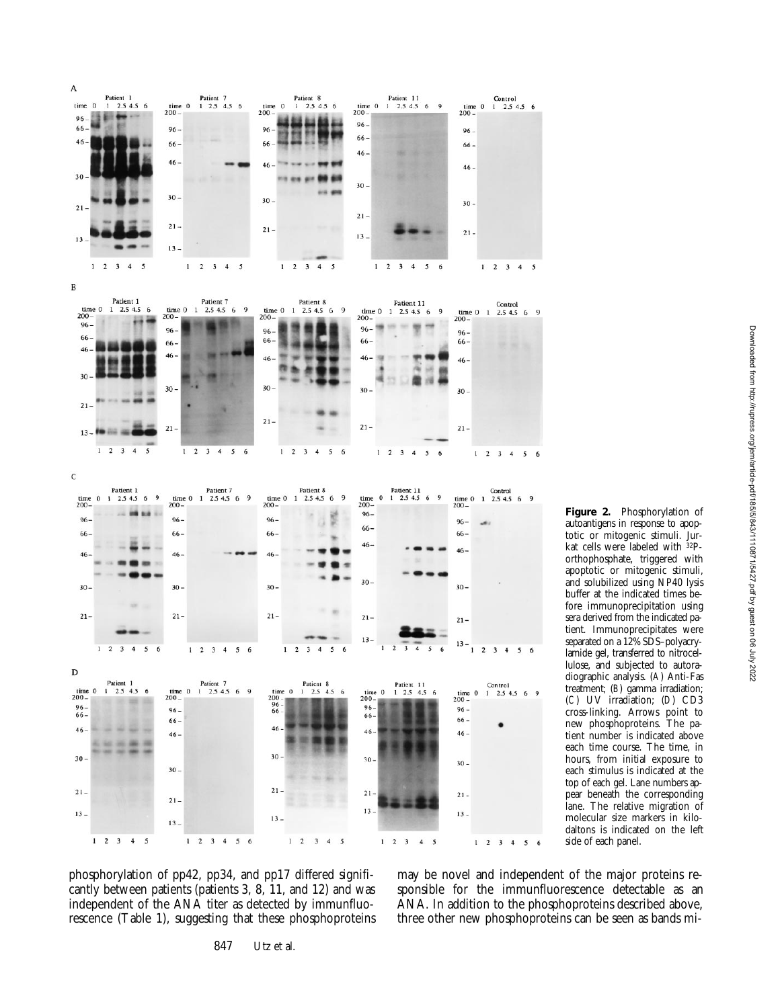

**Figure 2.** Phosphorylation of autoantigens in response to apoptotic or mitogenic stimuli. Jurkat cells were labeled with 32Porthophosphate, triggered with apoptotic or mitogenic stimuli, and solubilized using NP40 lysis buffer at the indicated times before immunoprecipitation using sera derived from the indicated patient. Immunoprecipitates were separated on a 12% SDS–polyacrylamide gel, transferred to nitrocellulose, and subjected to autoradiographic analysis. (*A*) Anti-Fas treatment; (*B*) gamma irradiation; (*C*) UV irradiation; (*D*) CD3 cross-linking. Arrows point to new phosphoproteins. The patient number is indicated above each time course. The time, in hours, from initial exposure to each stimulus is indicated at the top of each gel. Lane numbers appear beneath the corresponding lane. The relative migration of molecular size markers in kilodaltons is indicated on the left side of each panel.

phosphorylation of pp42, pp34, and pp17 differed significantly between patients (patients 3, 8, 11, and 12) and was independent of the ANA titer as detected by immunfluorescence (Table 1), suggesting that these phosphoproteins may be novel and independent of the major proteins responsible for the immunfluorescence detectable as an ANA. In addition to the phosphoproteins described above, three other new phosphoproteins can be seen as bands mi-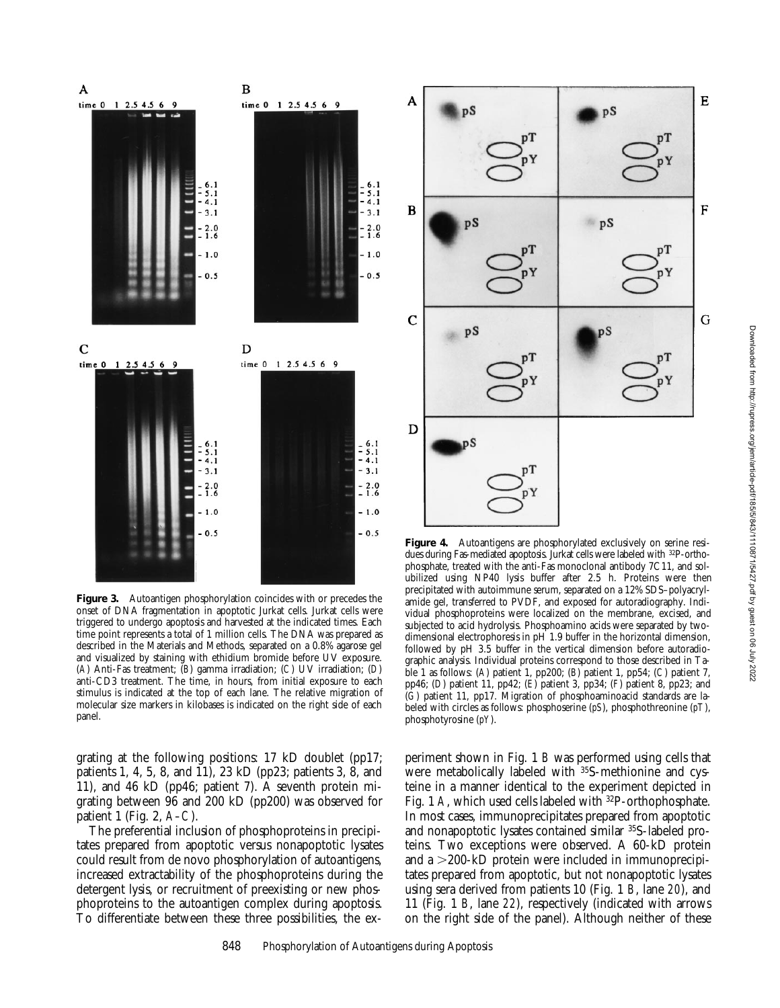

**Figure 3.** Autoantigen phosphorylation coincides with or precedes the onset of DNA fragmentation in apoptotic Jurkat cells. Jurkat cells were triggered to undergo apoptosis and harvested at the indicated times. Each time point represents a total of 1 million cells. The DNA was prepared as described in the Materials and Methods, separated on a 0.8% agarose gel and visualized by staining with ethidium bromide before UV exposure. (*A*) Anti-Fas treatment; (*B*) gamma irradiation; (*C*) UV irradiation; (*D*) anti-CD3 treatment. The time, in hours, from initial exposure to each stimulus is indicated at the top of each lane. The relative migration of molecular size markers in kilobases is indicated on the right side of each panel.

grating at the following positions: 17 kD doublet (pp17; patients 1, 4, 5, 8, and 11), 23 kD (pp23; patients 3, 8, and 11), and 46 kD (pp46; patient 7). A seventh protein migrating between 96 and 200 kD (pp200) was observed for patient 1 (Fig. 2, *A–C*).

The preferential inclusion of phosphoproteins in precipitates prepared from apoptotic versus nonapoptotic lysates could result from de novo phosphorylation of autoantigens, increased extractability of the phosphoproteins during the detergent lysis, or recruitment of preexisting or new phosphoproteins to the autoantigen complex during apoptosis. To differentiate between these three possibilities, the ex-



Figure 4. Autoantigens are phosphorylated exclusively on serine residues during Fas-mediated apoptosis. Jurkat cells were labeled with 32P-orthophosphate, treated with the anti-Fas monoclonal antibody 7C11, and solubilized using NP40 lysis buffer after 2.5 h. Proteins were then precipitated with autoimmune serum, separated on a 12% SDS–polyacrylamide gel, transferred to PVDF, and exposed for autoradiography. Individual phosphoproteins were localized on the membrane, excised, and subjected to acid hydrolysis. Phosphoamino acids were separated by twodimensional electrophoresis in pH 1.9 buffer in the horizontal dimension, followed by pH 3.5 buffer in the vertical dimension before autoradiographic analysis. Individual proteins correspond to those described in Table 1 as follows: (*A*) patient 1, pp200; (*B*) patient 1, pp54; (*C*) patient 7, pp46; (*D*) patient 11, pp42; (*E*) patient 3, pp34; (*F*) patient 8, pp23; and (*G*) patient 11, pp17. Migration of phosphoaminoacid standards are labeled with circles as follows: phosphoserine (*pS*), phosphothreonine (*pT*), phosphotyrosine (*pY*).

periment shown in Fig. 1 *B* was performed using cells that were metabolically labeled with 35S-methionine and cysteine in a manner identical to the experiment depicted in Fig. 1 A, which used cells labeled with <sup>32</sup>P-orthophosphate. In most cases, immunoprecipitates prepared from apoptotic and nonapoptotic lysates contained similar 35S-labeled proteins. Two exceptions were observed. A 60-kD protein and a  $>$  200-kD protein were included in immunoprecipitates prepared from apoptotic, but not nonapoptotic lysates using sera derived from patients 10 (Fig. 1 *B*, lane *20*), and 11 (Fig. 1 *B*, lane *22*), respectively (indicated with arrows on the right side of the panel). Although neither of these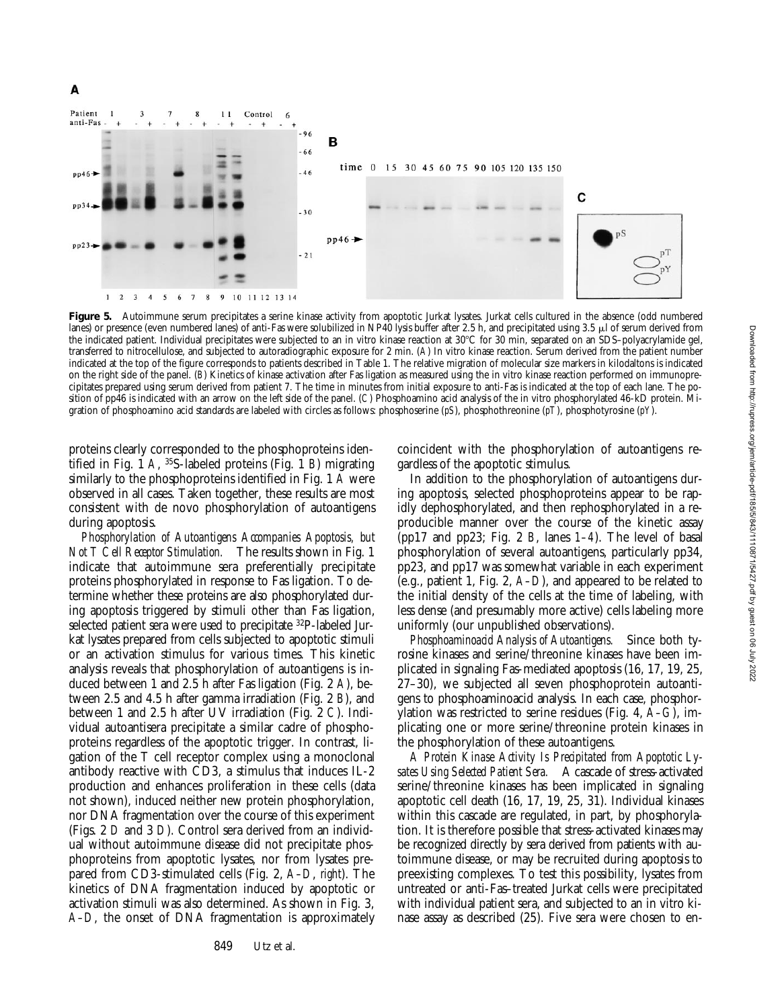

Figure 5. Autoimmune serum precipitates a serine kinase activity from apoptotic Jurkat lysates. Jurkat cells cultured in the absence (odd numbered lanes) or presence (even numbered lanes) of anti-Fas were solubilized in NP40 lysis buffer after 2.5 h, and precipitated using 3.5  $\mu$  of serum derived from the indicated patient. Individual precipitates were subjected to an in vitro kinase reaction at 30°C for 30 min, separated on an SDS–polyacrylamide gel, transferred to nitrocellulose, and subjected to autoradiographic exposure for 2 min. (*A*) In vitro kinase reaction. Serum derived from the patient number indicated at the top of the figure corresponds to patients described in Table 1. The relative migration of molecular size markers in kilodaltons is indicated on the right side of the panel. (*B*) Kinetics of kinase activation after Fas ligation as measured using the in vitro kinase reaction performed on immunoprecipitates prepared using serum derived from patient 7. The time in minutes from initial exposure to anti-Fas is indicated at the top of each lane. The position of pp46 is indicated with an arrow on the left side of the panel. (*C*) Phosphoamino acid analysis of the in vitro phosphorylated 46-kD protein. Migration of phosphoamino acid standards are labeled with circles as follows: phosphoserine (*pS*), phosphothreonine (*pT*), phosphotyrosine (*pY*).

proteins clearly corresponded to the phosphoproteins identified in Fig. 1 *A*, 35S-labeled proteins (Fig. 1 *B*) migrating similarly to the phosphoproteins identified in Fig. 1 *A* were observed in all cases. Taken together, these results are most consistent with de novo phosphorylation of autoantigens during apoptosis.

A

*Phosphorylation of Autoantigens Accompanies Apoptosis, but Not T Cell Receptor Stimulation.* The results shown in Fig. 1 indicate that autoimmune sera preferentially precipitate proteins phosphorylated in response to Fas ligation. To determine whether these proteins are also phosphorylated during apoptosis triggered by stimuli other than Fas ligation, selected patient sera were used to precipitate 32P-labeled Jurkat lysates prepared from cells subjected to apoptotic stimuli or an activation stimulus for various times. This kinetic analysis reveals that phosphorylation of autoantigens is induced between 1 and 2.5 h after Fas ligation (Fig. 2 *A*), between 2.5 and 4.5 h after gamma irradiation (Fig. 2 *B*), and between 1 and 2.5 h after UV irradiation (Fig. 2 *C*). Individual autoantisera precipitate a similar cadre of phosphoproteins regardless of the apoptotic trigger. In contrast, ligation of the T cell receptor complex using a monoclonal antibody reactive with CD3, a stimulus that induces IL-2 production and enhances proliferation in these cells (data not shown), induced neither new protein phosphorylation, nor DNA fragmentation over the course of this experiment (Figs. 2 *D* and 3 *D*). Control sera derived from an individual without autoimmune disease did not precipitate phosphoproteins from apoptotic lysates, nor from lysates prepared from CD3-stimulated cells (Fig. 2, *A–D*, *right*). The kinetics of DNA fragmentation induced by apoptotic or activation stimuli was also determined. As shown in Fig. 3, *A–D*, the onset of DNA fragmentation is approximately

849 Utz et al.

coincident with the phosphorylation of autoantigens regardless of the apoptotic stimulus.

In addition to the phosphorylation of autoantigens during apoptosis, selected phosphoproteins appear to be rapidly dephosphorylated, and then rephosphorylated in a reproducible manner over the course of the kinetic assay (pp17 and pp23; Fig. 2 *B*, lanes *1–4*). The level of basal phosphorylation of several autoantigens, particularly pp34, pp23, and pp17 was somewhat variable in each experiment (e.g., patient 1, Fig. 2, *A–D*), and appeared to be related to the initial density of the cells at the time of labeling, with less dense (and presumably more active) cells labeling more uniformly (our unpublished observations).

*Phosphoaminoacid Analysis of Autoantigens.* Since both tyrosine kinases and serine/threonine kinases have been implicated in signaling Fas-mediated apoptosis (16, 17, 19, 25, 27–30), we subjected all seven phosphoprotein autoantigens to phosphoaminoacid analysis. In each case, phosphorylation was restricted to serine residues (Fig. 4, *A–G*), implicating one or more serine/threonine protein kinases in the phosphorylation of these autoantigens.

*A Protein Kinase Activity Is Precipitated from Apoptotic Lysates Using Selected Patient Sera.* A cascade of stress-activated serine/threonine kinases has been implicated in signaling apoptotic cell death (16, 17, 19, 25, 31). Individual kinases within this cascade are regulated, in part, by phosphorylation. It is therefore possible that stress-activated kinases may be recognized directly by sera derived from patients with autoimmune disease, or may be recruited during apoptosis to preexisting complexes. To test this possibility, lysates from untreated or anti-Fas–treated Jurkat cells were precipitated with individual patient sera, and subjected to an in vitro kinase assay as described (25). Five sera were chosen to en-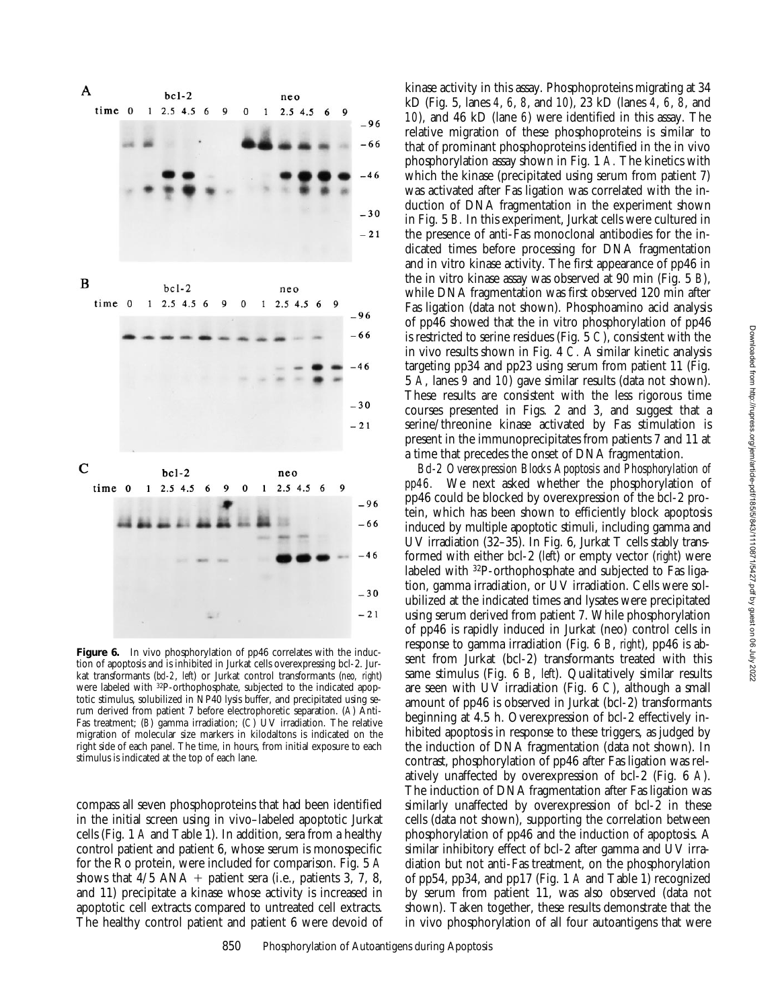

Figure 6. In vivo phosphorylation of pp46 correlates with the induction of apoptosis and is inhibited in Jurkat cells overexpressing bcl-2. Jurkat transformants (*bcl-2*, *left*) or Jurkat control transformants (*neo, right*) were labeled with 32P-orthophosphate, subjected to the indicated apoptotic stimulus, solubilized in NP40 lysis buffer, and precipitated using serum derived from patient 7 before electrophoretic separation. (*A*) Anti-Fas treatment; (*B*) gamma irradiation; (*C*) UV irradiation. The relative migration of molecular size markers in kilodaltons is indicated on the right side of each panel. The time, in hours, from initial exposure to each stimulus is indicated at the top of each lane.

compass all seven phosphoproteins that had been identified in the initial screen using in vivo–labeled apoptotic Jurkat cells (Fig. 1 *A* and Table 1). In addition, sera from a healthy control patient and patient 6, whose serum is monospecific for the Ro protein, were included for comparison. Fig. 5 *A* shows that  $4/5$  ANA + patient sera (i.e., patients 3, 7, 8, and 11) precipitate a kinase whose activity is increased in apoptotic cell extracts compared to untreated cell extracts. The healthy control patient and patient 6 were devoid of

kinase activity in this assay. Phosphoproteins migrating at 34 kD (Fig. 5, lanes *4*, *6*, *8*, and *10*), 23 kD (lanes *4*, *6*, *8*, and *10*), and 46 kD (lane *6*) were identified in this assay. The relative migration of these phosphoproteins is similar to that of prominant phosphoproteins identified in the in vivo phosphorylation assay shown in Fig. 1 *A.* The kinetics with which the kinase (precipitated using serum from patient 7) was activated after Fas ligation was correlated with the induction of DNA fragmentation in the experiment shown in Fig. 5 *B.* In this experiment, Jurkat cells were cultured in the presence of anti-Fas monoclonal antibodies for the indicated times before processing for DNA fragmentation and in vitro kinase activity. The first appearance of pp46 in the in vitro kinase assay was observed at 90 min (Fig. 5 *B*), while DNA fragmentation was first observed 120 min after Fas ligation (data not shown). Phosphoamino acid analysis of pp46 showed that the in vitro phosphorylation of pp46 is restricted to serine residues (Fig. 5 *C*), consistent with the in vivo results shown in Fig. 4 *C.* A similar kinetic analysis targeting pp34 and pp23 using serum from patient 11 (Fig. 5 *A*, lanes *9* and *10*) gave similar results (data not shown). These results are consistent with the less rigorous time courses presented in Figs. 2 and 3, and suggest that a serine/threonine kinase activated by Fas stimulation is present in the immunoprecipitates from patients 7 and 11 at a time that precedes the onset of DNA fragmentation.

*Bcl-2 Overexpression Blocks Apoptosis and Phosphorylation of pp46.* We next asked whether the phosphorylation of pp46 could be blocked by overexpression of the bcl-2 protein, which has been shown to efficiently block apoptosis induced by multiple apoptotic stimuli, including gamma and UV irradiation (32–35). In Fig. 6, Jurkat T cells stably transformed with either bcl-2 (*left*) or empty vector (*right*) were labeled with 32P-orthophosphate and subjected to Fas ligation, gamma irradiation, or UV irradiation. Cells were solubilized at the indicated times and lysates were precipitated using serum derived from patient 7. While phosphorylation of pp46 is rapidly induced in Jurkat (neo) control cells in response to gamma irradiation (Fig. 6 *B*, *right*), pp46 is absent from Jurkat (bcl-2) transformants treated with this same stimulus (Fig. 6 *B*, *left*). Qualitatively similar results are seen with UV irradiation (Fig. 6 *C*), although a small amount of pp46 is observed in Jurkat (bcl-2) transformants beginning at 4.5 h. Overexpression of bcl-2 effectively inhibited apoptosis in response to these triggers, as judged by the induction of DNA fragmentation (data not shown). In contrast, phosphorylation of pp46 after Fas ligation was relatively unaffected by overexpression of bcl-2 (Fig. 6 *A*). The induction of DNA fragmentation after Fas ligation was similarly unaffected by overexpression of bcl-2 in these cells (data not shown), supporting the correlation between phosphorylation of pp46 and the induction of apoptosis. A similar inhibitory effect of bcl-2 after gamma and UV irradiation but not anti-Fas treatment, on the phosphorylation of pp54, pp34, and pp17 (Fig. 1 *A* and Table 1) recognized by serum from patient 11, was also observed (data not shown). Taken together, these results demonstrate that the in vivo phosphorylation of all four autoantigens that were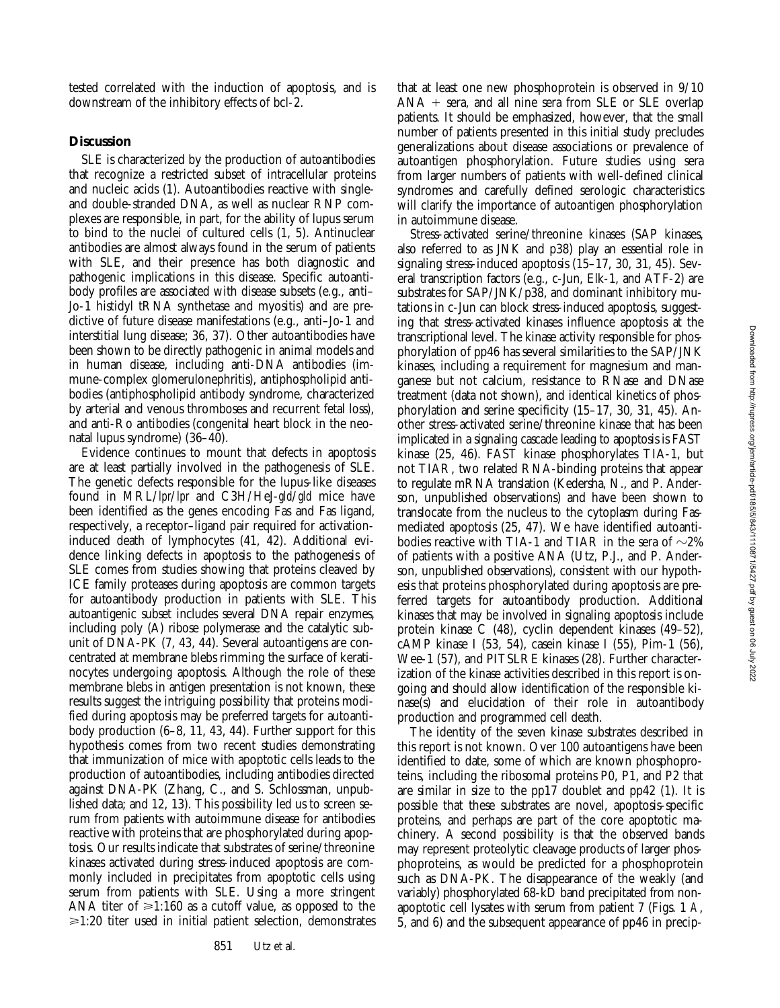tested correlated with the induction of apoptosis, and is downstream of the inhibitory effects of bcl-2.

#### **Discussion**

SLE is characterized by the production of autoantibodies that recognize a restricted subset of intracellular proteins and nucleic acids (1). Autoantibodies reactive with singleand double-stranded DNA, as well as nuclear RNP complexes are responsible, in part, for the ability of lupus serum to bind to the nuclei of cultured cells (1, 5). Antinuclear antibodies are almost always found in the serum of patients with SLE, and their presence has both diagnostic and pathogenic implications in this disease. Specific autoantibody profiles are associated with disease subsets (e.g., anti– Jo-1 histidyl tRNA synthetase and myositis) and are predictive of future disease manifestations (e.g., anti–Jo-1 and interstitial lung disease; 36, 37). Other autoantibodies have been shown to be directly pathogenic in animal models and in human disease, including anti-DNA antibodies (immune-complex glomerulonephritis), antiphospholipid antibodies (antiphospholipid antibody syndrome, characterized by arterial and venous thromboses and recurrent fetal loss), and anti-Ro antibodies (congenital heart block in the neonatal lupus syndrome) (36–40).

Evidence continues to mount that defects in apoptosis are at least partially involved in the pathogenesis of SLE. The genetic defects responsible for the lupus-like diseases found in MRL/*lpr*/*lpr* and C3H/HeJ-*gld*/*gld* mice have been identified as the genes encoding Fas and Fas ligand, respectively, a receptor–ligand pair required for activationinduced death of lymphocytes (41, 42). Additional evidence linking defects in apoptosis to the pathogenesis of SLE comes from studies showing that proteins cleaved by ICE family proteases during apoptosis are common targets for autoantibody production in patients with SLE. This autoantigenic subset includes several DNA repair enzymes, including poly (A) ribose polymerase and the catalytic subunit of DNA-PK (7, 43, 44). Several autoantigens are concentrated at membrane blebs rimming the surface of keratinocytes undergoing apoptosis. Although the role of these membrane blebs in antigen presentation is not known, these results suggest the intriguing possibility that proteins modified during apoptosis may be preferred targets for autoantibody production (6–8, 11, 43, 44). Further support for this hypothesis comes from two recent studies demonstrating that immunization of mice with apoptotic cells leads to the production of autoantibodies, including antibodies directed against DNA-PK (Zhang, C., and S. Schlossman, unpublished data; and 12, 13). This possibility led us to screen serum from patients with autoimmune disease for antibodies reactive with proteins that are phosphorylated during apoptosis. Our results indicate that substrates of serine/threonine kinases activated during stress-induced apoptosis are commonly included in precipitates from apoptotic cells using serum from patients with SLE. Using a more stringent ANA titer of  $\geq 1:160$  as a cutoff value, as opposed to the  $\geq 1:20$  titer used in initial patient selection, demonstrates

that at least one new phosphoprotein is observed in 9/10  $ANA + \text{sera}$ , and all nine sera from SLE or SLE overlap patients. It should be emphasized, however, that the small number of patients presented in this initial study precludes generalizations about disease associations or prevalence of autoantigen phosphorylation. Future studies using sera from larger numbers of patients with well-defined clinical syndromes and carefully defined serologic characteristics will clarify the importance of autoantigen phosphorylation in autoimmune disease.

Stress-activated serine/threonine kinases (SAP kinases, also referred to as JNK and p38) play an essential role in signaling stress-induced apoptosis (15–17, 30, 31, 45). Several transcription factors (e.g., c-Jun, Elk-1, and ATF-2) are substrates for SAP/JNK/p38, and dominant inhibitory mutations in c-Jun can block stress-induced apoptosis, suggesting that stress-activated kinases influence apoptosis at the transcriptional level. The kinase activity responsible for phosphorylation of pp46 has several similarities to the SAP/JNK kinases, including a requirement for magnesium and manganese but not calcium, resistance to RNase and DNase treatment (data not shown), and identical kinetics of phosphorylation and serine specificity (15–17, 30, 31, 45). Another stress-activated serine/threonine kinase that has been implicated in a signaling cascade leading to apoptosis is FAST kinase (25, 46). FAST kinase phosphorylates TIA-1, but not TIAR, two related RNA-binding proteins that appear to regulate mRNA translation (Kedersha, N., and P. Anderson, unpublished observations) and have been shown to translocate from the nucleus to the cytoplasm during Fasmediated apoptosis (25, 47). We have identified autoantibodies reactive with TIA-1 and TIAR in the sera of  $\sim$ 2% of patients with a positive ANA (Utz, P.J., and P. Anderson, unpublished observations), consistent with our hypothesis that proteins phosphorylated during apoptosis are preferred targets for autoantibody production. Additional kinases that may be involved in signaling apoptosis include protein kinase C (48), cyclin dependent kinases (49–52), cAMP kinase I (53, 54), casein kinase I (55), Pim-1 (56), Wee-1 (57), and PITSLRE kinases (28). Further characterization of the kinase activities described in this report is ongoing and should allow identification of the responsible kinase(s) and elucidation of their role in autoantibody production and programmed cell death.

The identity of the seven kinase substrates described in this report is not known. Over 100 autoantigens have been identified to date, some of which are known phosphoproteins, including the ribosomal proteins P0, P1, and P2 that are similar in size to the pp17 doublet and pp42 (1). It is possible that these substrates are novel, apoptosis-specific proteins, and perhaps are part of the core apoptotic machinery. A second possibility is that the observed bands may represent proteolytic cleavage products of larger phosphoproteins, as would be predicted for a phosphoprotein such as DNA-PK. The disappearance of the weakly (and variably) phosphorylated 68-kD band precipitated from nonapoptotic cell lysates with serum from patient 7 (Figs. 1 *A*, 5, and 6) and the subsequent appearance of pp46 in precip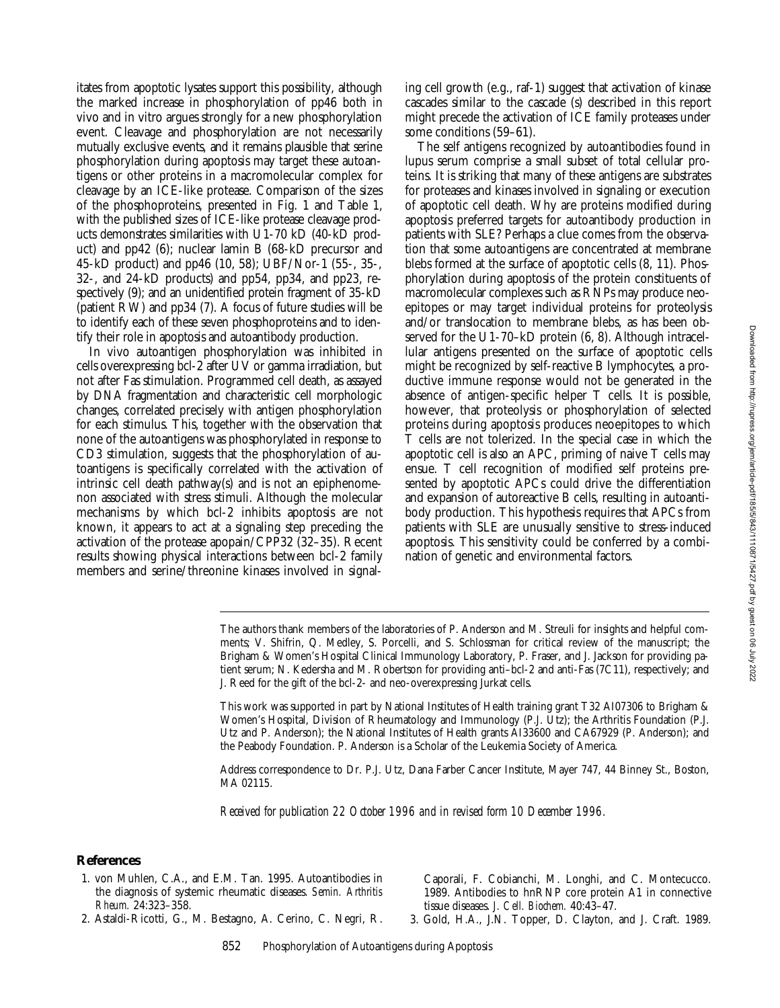itates from apoptotic lysates support this possibility, although the marked increase in phosphorylation of pp46 both in vivo and in vitro argues strongly for a new phosphorylation event. Cleavage and phosphorylation are not necessarily mutually exclusive events, and it remains plausible that serine phosphorylation during apoptosis may target these autoantigens or other proteins in a macromolecular complex for cleavage by an ICE-like protease. Comparison of the sizes of the phosphoproteins, presented in Fig. 1 and Table 1, with the published sizes of ICE-like protease cleavage products demonstrates similarities with U1-70 kD (40-kD product) and pp42 (6); nuclear lamin B (68-kD precursor and 45-kD product) and pp46 (10, 58); UBF/Nor-1 (55-, 35-, 32-, and 24-kD products) and pp54, pp34, and pp23, respectively (9); and an unidentified protein fragment of 35-kD (patient RW) and pp34 (7). A focus of future studies will be to identify each of these seven phosphoproteins and to identify their role in apoptosis and autoantibody production.

In vivo autoantigen phosphorylation was inhibited in cells overexpressing bcl-2 after UV or gamma irradiation, but not after Fas stimulation. Programmed cell death, as assayed by DNA fragmentation and characteristic cell morphologic changes, correlated precisely with antigen phosphorylation for each stimulus. This, together with the observation that none of the autoantigens was phosphorylated in response to CD3 stimulation, suggests that the phosphorylation of autoantigens is specifically correlated with the activation of intrinsic cell death pathway(s) and is not an epiphenomenon associated with stress stimuli. Although the molecular mechanisms by which bcl-2 inhibits apoptosis are not known, it appears to act at a signaling step preceding the activation of the protease apopain/CPP32 (32–35). Recent results showing physical interactions between bcl-2 family members and serine/threonine kinases involved in signaling cell growth (e.g., raf-1) suggest that activation of kinase cascades similar to the cascade (s) described in this report might precede the activation of ICE family proteases under some conditions (59–61).

The self antigens recognized by autoantibodies found in lupus serum comprise a small subset of total cellular proteins. It is striking that many of these antigens are substrates for proteases and kinases involved in signaling or execution of apoptotic cell death. Why are proteins modified during apoptosis preferred targets for autoantibody production in patients with SLE? Perhaps a clue comes from the observation that some autoantigens are concentrated at membrane blebs formed at the surface of apoptotic cells (8, 11). Phosphorylation during apoptosis of the protein constituents of macromolecular complexes such as RNPs may produce neoepitopes or may target individual proteins for proteolysis and/or translocation to membrane blebs, as has been observed for the U1-70–kD protein (6, 8). Although intracellular antigens presented on the surface of apoptotic cells might be recognized by self-reactive B lymphocytes, a productive immune response would not be generated in the absence of antigen-specific helper T cells. It is possible, however, that proteolysis or phosphorylation of selected proteins during apoptosis produces neoepitopes to which T cells are not tolerized. In the special case in which the apoptotic cell is also an APC, priming of naive T cells may ensue. T cell recognition of modified self proteins presented by apoptotic APCs could drive the differentiation and expansion of autoreactive B cells, resulting in autoantibody production. This hypothesis requires that APCs from patients with SLE are unusually sensitive to stress-induced apoptosis. This sensitivity could be conferred by a combination of genetic and environmental factors.

The authors thank members of the laboratories of P. Anderson and M. Streuli for insights and helpful comments; V. Shifrin, Q. Medley, S. Porcelli, and S. Schlossman for critical review of the manuscript; the Brigham & Women's Hospital Clinical Immunology Laboratory, P. Fraser, and J. Jackson for providing patient serum; N. Kedersha and M. Robertson for providing anti–bcl-2 and anti-Fas (7C11), respectively; and J. Reed for the gift of the bcl-2- and neo-overexpressing Jurkat cells.

This work was supported in part by National Institutes of Health training grant T32 AI07306 to Brigham & Women's Hospital, Division of Rheumatology and Immunology (P.J. Utz); the Arthritis Foundation (P.J. Utz and P. Anderson); the National Institutes of Health grants AI33600 and CA67929 (P. Anderson); and the Peabody Foundation. P. Anderson is a Scholar of the Leukemia Society of America.

Address correspondence to Dr. P.J. Utz, Dana Farber Cancer Institute, Mayer 747, 44 Binney St., Boston, MA 02115.

*Received for publication 22 October 1996 and in revised form 10 December 1996.*

## **References**

- 1. von Muhlen, C.A., and E.M. Tan. 1995. Autoantibodies in the diagnosis of systemic rheumatic diseases. *Semin. Arthritis Rheum.* 24:323–358.
- 2. Astaldi-Ricotti, G., M. Bestagno, A. Cerino, C. Negri, R.

Caporali, F. Cobianchi, M. Longhi, and C. Montecucco. 1989. Antibodies to hnRNP core protein A1 in connective tissue diseases. *J. Cell. Biochem.* 40:43–47.

3. Gold, H.A., J.N. Topper, D. Clayton, and J. Craft. 1989.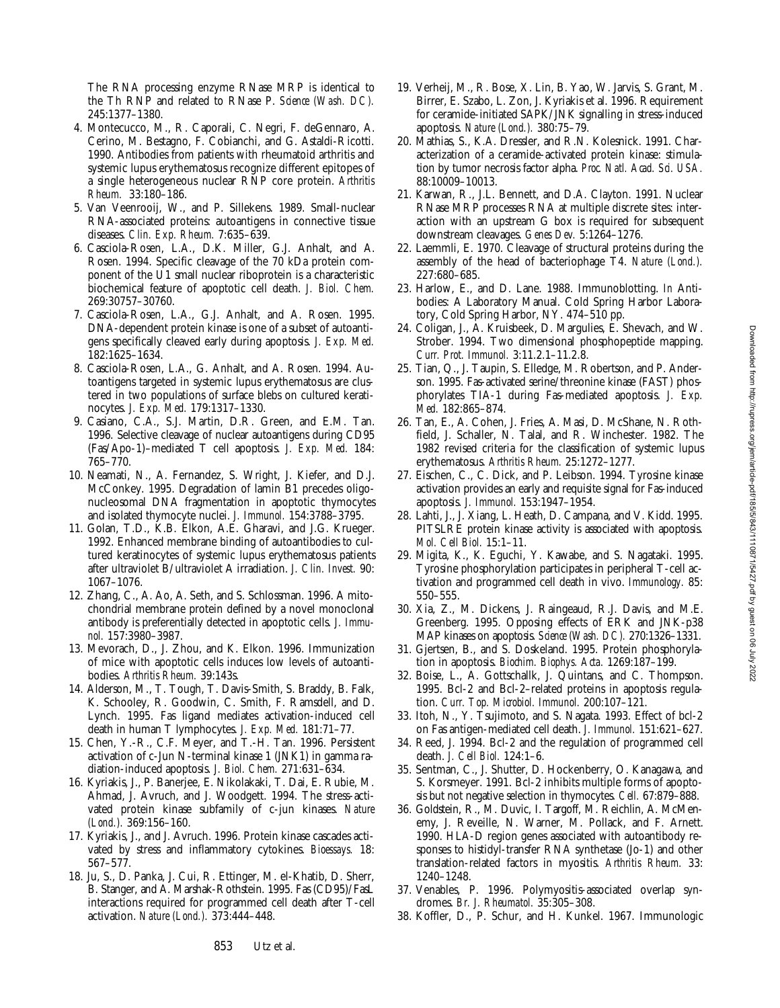The RNA processing enzyme RNase MRP is identical to the Th RNP and related to RNase P. *Science (Wash. DC).* 245:1377–1380.

- 4. Montecucco, M., R. Caporali, C. Negri, F. deGennaro, A. Cerino, M. Bestagno, F. Cobianchi, and G. Astaldi-Ricotti. 1990. Antibodies from patients with rheumatoid arthritis and systemic lupus erythematosus recognize different epitopes of a single heterogeneous nuclear RNP core protein. *Arthritis Rheum.* 33:180–186.
- 5. Van Veenrooij, W., and P. Sillekens. 1989. Small-nuclear RNA-associated proteins: autoantigens in connective tissue diseases. *Clin. Exp. Rheum.* 7:635–639.
- 6. Casciola-Rosen, L.A., D.K. Miller, G.J. Anhalt, and A. Rosen. 1994. Specific cleavage of the 70 kDa protein component of the U1 small nuclear riboprotein is a characteristic biochemical feature of apoptotic cell death. *J. Biol. Chem.* 269:30757–30760.
- 7. Casciola-Rosen, L.A., G.J. Anhalt, and A. Rosen. 1995. DNA-dependent protein kinase is one of a subset of autoantigens specifically cleaved early during apoptosis. *J. Exp. Med.* 182:1625–1634.
- 8. Casciola-Rosen, L.A., G. Anhalt, and A. Rosen. 1994. Autoantigens targeted in systemic lupus erythematosus are clustered in two populations of surface blebs on cultured keratinocytes. *J. Exp. Med.* 179:1317–1330.
- 9. Casiano, C.A., S.J. Martin, D.R. Green, and E.M. Tan. 1996. Selective cleavage of nuclear autoantigens during CD95 (Fas/Apo-1)–mediated T cell apoptosis. *J. Exp. Med.* 184: 765–770.
- 10. Neamati, N., A. Fernandez, S. Wright, J. Kiefer, and D.J. McConkey. 1995. Degradation of lamin B1 precedes oligonucleosomal DNA fragmentation in apoptotic thymocytes and isolated thymocyte nuclei. *J. Immunol.* 154:3788–3795.
- 11. Golan, T.D., K.B. Elkon, A.E. Gharavi, and J.G. Krueger. 1992. Enhanced membrane binding of autoantibodies to cultured keratinocytes of systemic lupus erythematosus patients after ultraviolet B/ultraviolet A irradiation. *J. Clin. Invest.* 90: 1067–1076.
- 12. Zhang, C., A. Ao, A. Seth, and S. Schlossman. 1996. A mitochondrial membrane protein defined by a novel monoclonal antibody is preferentially detected in apoptotic cells. *J. Immunol.* 157:3980–3987.
- 13. Mevorach, D., J. Zhou, and K. Elkon. 1996. Immunization of mice with apoptotic cells induces low levels of autoantibodies. *Arthritis Rheum.* 39:143s.
- 14. Alderson, M., T. Tough, T. Davis-Smith, S. Braddy, B. Falk, K. Schooley, R. Goodwin, C. Smith, F. Ramsdell, and D. Lynch. 1995. Fas ligand mediates activation-induced cell death in human T lymphocytes. *J. Exp. Med.* 181:71–77.
- 15. Chen, Y.-R., C.F. Meyer, and T.-H. Tan. 1996. Persistent activation of c-Jun N-terminal kinase 1 (JNK1) in gamma radiation-induced apoptosis. *J. Biol. Chem.* 271:631–634.
- 16. Kyriakis, J., P. Banerjee, E. Nikolakaki, T. Dai, E. Rubie, M. Ahmad, J. Avruch, and J. Woodgett. 1994. The stress-activated protein kinase subfamily of c-jun kinases. *Nature (Lond.).* 369:156–160.
- 17. Kyriakis, J., and J. Avruch. 1996. Protein kinase cascades activated by stress and inflammatory cytokines. *Bioessays.* 18: 567–577.
- 18. Ju, S., D. Panka, J. Cui, R. Ettinger, M. el-Khatib, D. Sherr, B. Stanger, and A. Marshak-Rothstein. 1995. Fas (CD95)/FasL interactions required for programmed cell death after T-cell activation. *Nature (Lond.).* 373:444–448.
- 19. Verheij, M., R. Bose, X. Lin, B. Yao, W. Jarvis, S. Grant, M. Birrer, E. Szabo, L. Zon, J. Kyriakis et al. 1996. Requirement for ceramide-initiated SAPK/JNK signalling in stress-induced apoptosis. *Nature (Lond.).* 380:75–79.
- 20. Mathias, S., K.A. Dressler, and R.N. Kolesnick. 1991. Characterization of a ceramide-activated protein kinase: stimulation by tumor necrosis factor alpha. *Proc. Natl. Acad. Sci. USA.* 88:10009–10013.
- 21. Karwan, R., J.L. Bennett, and D.A. Clayton. 1991. Nuclear RNase MRP processes RNA at multiple discrete sites: interaction with an upstream G box is required for subsequent downstream cleavages. *Genes Dev.* 5:1264–1276.
- 22. Laemmli, E. 1970. Cleavage of structural proteins during the assembly of the head of bacteriophage T4. *Nature (Lond.).* 227:680–685.
- 23. Harlow, E., and D. Lane. 1988. Immunoblotting. *In* Antibodies: A Laboratory Manual. Cold Spring Harbor Laboratory, Cold Spring Harbor, NY. 474–510 pp.
- 24. Coligan, J., A. Kruisbeek, D. Margulies, E. Shevach, and W. Strober. 1994. Two dimensional phosphopeptide mapping. *Curr. Prot. Immunol.* 3:11.2.1–11.2.8.
- 25. Tian, Q., J. Taupin, S. Elledge, M. Robertson, and P. Anderson. 1995. Fas-activated serine/threonine kinase (FAST) phosphorylates TIA-1 during Fas-mediated apoptosis. *J. Exp. Med.* 182:865–874.
- 26. Tan, E., A. Cohen, J. Fries, A. Masi, D. McShane, N. Rothfield, J. Schaller, N. Talal, and R. Winchester. 1982. The 1982 revised criteria for the classification of systemic lupus erythematosus. *Arthritis Rheum.* 25:1272–1277.
- 27. Eischen, C., C. Dick, and P. Leibson. 1994. Tyrosine kinase activation provides an early and requisite signal for Fas-induced apoptosis. *J. Immunol.* 153:1947–1954.
- 28. Lahti, J., J. Xiang, L. Heath, D. Campana, and V. Kidd. 1995. PITSLRE protein kinase activity is associated with apoptosis. *Mol. Cell Biol.* 15:1–11.
- 29. Migita, K., K. Eguchi, Y. Kawabe, and S. Nagataki. 1995. Tyrosine phosphorylation participates in peripheral T-cell activation and programmed cell death in vivo. *Immunology.* 85: 550–555.
- 30. Xia, Z., M. Dickens, J. Raingeaud, R.J. Davis, and M.E. Greenberg. 1995. Opposing effects of ERK and JNK-p38 MAP kinases on apoptosis. *Science (Wash. DC).* 270:1326–1331.
- 31. Gjertsen, B., and S. Doskeland. 1995. Protein phosphorylation in apoptosis. *Biochim. Biophys. Acta.* 1269:187–199.
- 32. Boise, L., A. Gottschallk, J. Quintans, and C. Thompson. 1995. Bcl-2 and Bcl-2–related proteins in apoptosis regulation. *Curr. Top. Microbiol. Immunol.* 200:107–121.
- 33. Itoh, N., Y. Tsujimoto, and S. Nagata. 1993. Effect of bcl-2 on Fas antigen-mediated cell death. *J. Immunol.* 151:621–627.
- 34. Reed, J. 1994. Bcl-2 and the regulation of programmed cell death. *J. Cell Biol.* 124:1–6.
- 35. Sentman, C., J. Shutter, D. Hockenberry, O. Kanagawa, and S. Korsmeyer. 1991. Bcl-2 inhibits multiple forms of apoptosis but not negative selection in thymocytes. *Cell.* 67:879–888.
- 36. Goldstein, R., M. Duvic, I. Targoff, M. Reichlin, A. McMenemy, J. Reveille, N. Warner, M. Pollack, and F. Arnett. 1990. HLA-D region genes associated with autoantibody responses to histidyl-transfer RNA synthetase (Jo-1) and other translation-related factors in myositis. *Arthritis Rheum.* 33: 1240–1248.
- 37. Venables, P. 1996. Polymyositis-associated overlap syndromes. *Br. J. Rheumatol.* 35:305–308.
- 38. Koffler, D., P. Schur, and H. Kunkel. 1967. Immunologic